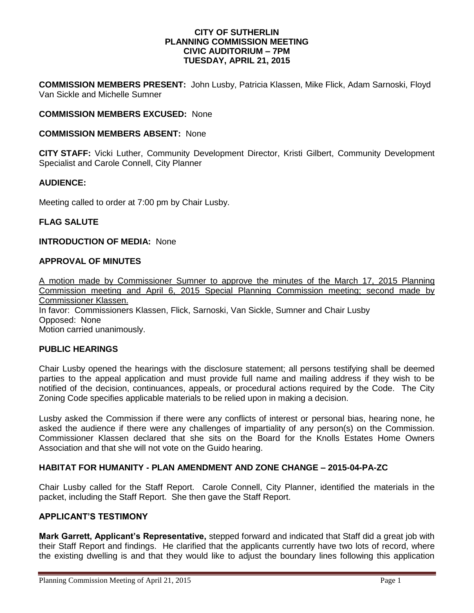### **CITY OF SUTHERLIN PLANNING COMMISSION MEETING CIVIC AUDITORIUM – 7PM TUESDAY, APRIL 21, 2015**

**COMMISSION MEMBERS PRESENT:** John Lusby, Patricia Klassen, Mike Flick, Adam Sarnoski, Floyd Van Sickle and Michelle Sumner

### **COMMISSION MEMBERS EXCUSED:** None

### **COMMISSION MEMBERS ABSENT:** None

**CITY STAFF:** Vicki Luther, Community Development Director, Kristi Gilbert, Community Development Specialist and Carole Connell, City Planner

### **AUDIENCE:**

Meeting called to order at 7:00 pm by Chair Lusby.

### **FLAG SALUTE**

#### **INTRODUCTION OF MEDIA:** None

## **APPROVAL OF MINUTES**

A motion made by Commissioner Sumner to approve the minutes of the March 17, 2015 Planning Commission meeting and April 6, 2015 Special Planning Commission meeting; second made by Commissioner Klassen. In favor: Commissioners Klassen, Flick, Sarnoski, Van Sickle, Sumner and Chair Lusby Opposed:None Motion carried unanimously.

### **PUBLIC HEARINGS**

Chair Lusby opened the hearings with the disclosure statement; all persons testifying shall be deemed parties to the appeal application and must provide full name and mailing address if they wish to be notified of the decision, continuances, appeals, or procedural actions required by the Code. The City Zoning Code specifies applicable materials to be relied upon in making a decision.

Lusby asked the Commission if there were any conflicts of interest or personal bias, hearing none, he asked the audience if there were any challenges of impartiality of any person(s) on the Commission. Commissioner Klassen declared that she sits on the Board for the Knolls Estates Home Owners Association and that she will not vote on the Guido hearing.

### **HABITAT FOR HUMANITY - PLAN AMENDMENT AND ZONE CHANGE – 2015-04-PA-ZC**

Chair Lusby called for the Staff Report. Carole Connell, City Planner, identified the materials in the packet, including the Staff Report. She then gave the Staff Report.

## **APPLICANT'S TESTIMONY**

**Mark Garrett, Applicant's Representative,** stepped forward and indicated that Staff did a great job with their Staff Report and findings. He clarified that the applicants currently have two lots of record, where the existing dwelling is and that they would like to adjust the boundary lines following this application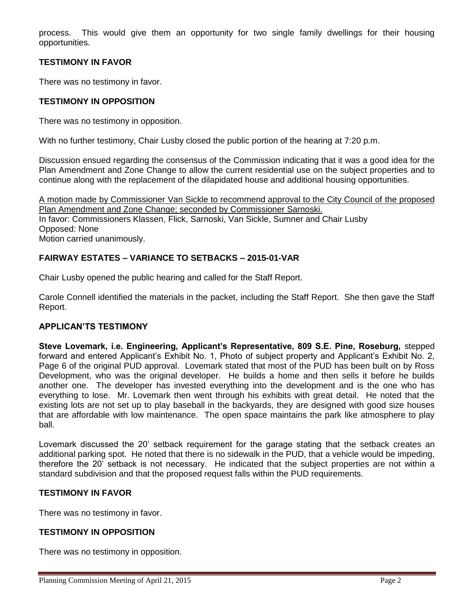process. This would give them an opportunity for two single family dwellings for their housing opportunities.

# **TESTIMONY IN FAVOR**

There was no testimony in favor.

## **TESTIMONY IN OPPOSITION**

There was no testimony in opposition.

With no further testimony, Chair Lusby closed the public portion of the hearing at 7:20 p.m.

Discussion ensued regarding the consensus of the Commission indicating that it was a good idea for the Plan Amendment and Zone Change to allow the current residential use on the subject properties and to continue along with the replacement of the dilapidated house and additional housing opportunities.

A motion made by Commissioner Van Sickle to recommend approval to the City Council of the proposed Plan Amendment and Zone Change; seconded by Commissioner Sarnoski. In favor: Commissioners Klassen, Flick, Sarnoski, Van Sickle, Sumner and Chair Lusby Opposed: None Motion carried unanimously.

# **FAIRWAY ESTATES – VARIANCE TO SETBACKS – 2015-01-VAR**

Chair Lusby opened the public hearing and called for the Staff Report.

Carole Connell identified the materials in the packet, including the Staff Report. She then gave the Staff Report.

## **APPLICAN'TS TESTIMONY**

**Steve Lovemark, i.e. Engineering, Applicant's Representative, 809 S.E. Pine, Roseburg,** stepped forward and entered Applicant's Exhibit No. 1, Photo of subject property and Applicant's Exhibit No. 2, Page 6 of the original PUD approval. Lovemark stated that most of the PUD has been built on by Ross Development, who was the original developer. He builds a home and then sells it before he builds another one. The developer has invested everything into the development and is the one who has everything to lose. Mr. Lovemark then went through his exhibits with great detail. He noted that the existing lots are not set up to play baseball in the backyards, they are designed with good size houses that are affordable with low maintenance. The open space maintains the park like atmosphere to play ball.

Lovemark discussed the 20' setback requirement for the garage stating that the setback creates an additional parking spot. He noted that there is no sidewalk in the PUD, that a vehicle would be impeding, therefore the 20' setback is not necessary. He indicated that the subject properties are not within a standard subdivision and that the proposed request falls within the PUD requirements.

## **TESTIMONY IN FAVOR**

There was no testimony in favor.

## **TESTIMONY IN OPPOSITION**

There was no testimony in opposition.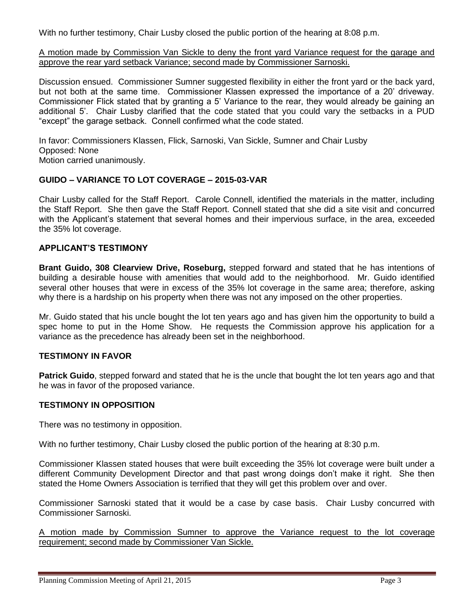With no further testimony, Chair Lusby closed the public portion of the hearing at 8:08 p.m.

A motion made by Commission Van Sickle to deny the front yard Variance request for the garage and approve the rear yard setback Variance; second made by Commissioner Sarnoski.

Discussion ensued. Commissioner Sumner suggested flexibility in either the front yard or the back yard, but not both at the same time. Commissioner Klassen expressed the importance of a 20' driveway. Commissioner Flick stated that by granting a 5' Variance to the rear, they would already be gaining an additional 5'. Chair Lusby clarified that the code stated that you could vary the setbacks in a PUD "except" the garage setback. Connell confirmed what the code stated.

In favor: Commissioners Klassen, Flick, Sarnoski, Van Sickle, Sumner and Chair Lusby Opposed: None Motion carried unanimously.

## **GUIDO – VARIANCE TO LOT COVERAGE – 2015-03-VAR**

Chair Lusby called for the Staff Report. Carole Connell, identified the materials in the matter, including the Staff Report. She then gave the Staff Report. Connell stated that she did a site visit and concurred with the Applicant's statement that several homes and their impervious surface, in the area, exceeded the 35% lot coverage.

## **APPLICANT'S TESTIMONY**

**Brant Guido, 308 Clearview Drive, Roseburg,** stepped forward and stated that he has intentions of building a desirable house with amenities that would add to the neighborhood. Mr. Guido identified several other houses that were in excess of the 35% lot coverage in the same area; therefore, asking why there is a hardship on his property when there was not any imposed on the other properties.

Mr. Guido stated that his uncle bought the lot ten years ago and has given him the opportunity to build a spec home to put in the Home Show. He requests the Commission approve his application for a variance as the precedence has already been set in the neighborhood.

### **TESTIMONY IN FAVOR**

**Patrick Guido**, stepped forward and stated that he is the uncle that bought the lot ten years ago and that he was in favor of the proposed variance.

## **TESTIMONY IN OPPOSITION**

There was no testimony in opposition.

With no further testimony, Chair Lusby closed the public portion of the hearing at 8:30 p.m.

Commissioner Klassen stated houses that were built exceeding the 35% lot coverage were built under a different Community Development Director and that past wrong doings don't make it right. She then stated the Home Owners Association is terrified that they will get this problem over and over.

Commissioner Sarnoski stated that it would be a case by case basis. Chair Lusby concurred with Commissioner Sarnoski.

A motion made by Commission Sumner to approve the Variance request to the lot coverage requirement; second made by Commissioner Van Sickle.